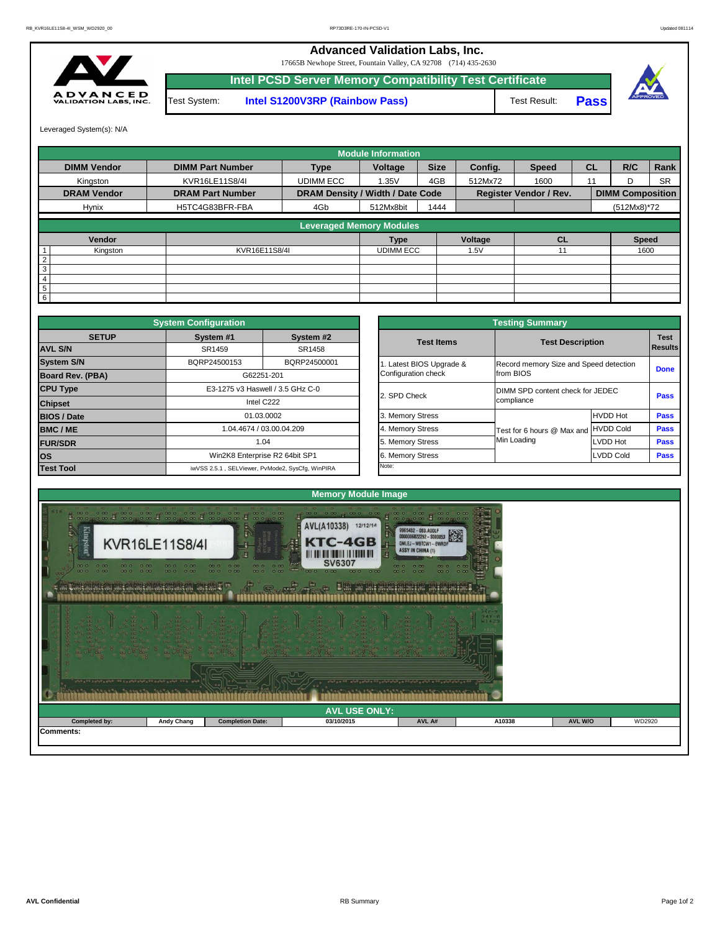

| opeange reagage regage as reales a regae es |                   |                         |                      |        |        |         |        |
|---------------------------------------------|-------------------|-------------------------|----------------------|--------|--------|---------|--------|
|                                             |                   |                         | <b>AVL USE ONLY:</b> |        |        |         |        |
| <b>Completed by:</b>                        | <b>Andy Chang</b> | <b>Completion Date:</b> | 03/10/2015           | AVL A# | A10338 | AVL W/O | WD2920 |
| Comments:                                   |                   |                         |                      |        |        |         |        |

|              | <b>System Configuration</b> |                                                  |                       | <b>Testing Summary</b>                 |                  |                |  |  |
|--------------|-----------------------------|--------------------------------------------------|-----------------------|----------------------------------------|------------------|----------------|--|--|
| <b>SETUP</b> | System #1                   | System #2                                        | <b>Test Items</b>     | <b>Test Description</b>                |                  |                |  |  |
|              | SR1459                      | SR1458                                           |                       |                                        |                  | <b>Results</b> |  |  |
|              | BQRP24500153                | BQRP24500001                                     | Latest BIOS Upgrade & | Record memory Size and Speed detection |                  |                |  |  |
| PBA)         |                             | G62251-201                                       | Configuration check   | from BIOS                              |                  |                |  |  |
|              |                             | E3-1275 v3 Haswell / 3.5 GHz C-0                 |                       | DIMM SPD content check for JEDEC       |                  |                |  |  |
|              |                             | Intel C222                                       | 2. SPD Check          | compliance                             |                  |                |  |  |
|              |                             | 01.03.0002                                       | 3. Memory Stress      |                                        | <b>HVDD Hot</b>  |                |  |  |
|              |                             | 1.04.4674 / 03.00.04.209                         | 4. Memory Stress      | Test for 6 hours @ Max and             | <b>HVDD Cold</b> |                |  |  |
|              |                             | 1.04                                             | 5. Memory Stress      | Min Loading<br><b>ILVDD Hot</b>        |                  |                |  |  |
|              |                             | Win2K8 Enterprise R2 64bit SP1                   | 6. Memory Stress      |                                        | LVDD Cold        |                |  |  |
|              |                             | iwVSS 2.5.1, SELViewer, PvMode2, SysCfg, WinPIRA | Note:                 |                                        |                  |                |  |  |

|                                                                                                                              | <b>System Configuration</b>  |                                  |                       |                     | <b>Testing Summary</b>                 |                         |             |  |  |  |  |
|------------------------------------------------------------------------------------------------------------------------------|------------------------------|----------------------------------|-----------------------|---------------------|----------------------------------------|-------------------------|-------------|--|--|--|--|
| <b>SETUP</b>                                                                                                                 | System #2<br>System #1       |                                  |                       | <b>Test Items</b>   |                                        | <b>Test Description</b> |             |  |  |  |  |
| <b>AVL S/N</b>                                                                                                               | SR1459                       | SR1458                           |                       |                     |                                        |                         | Results     |  |  |  |  |
| <b>System S/N</b>                                                                                                            | BQRP24500001<br>BQRP24500153 |                                  | Latest BIOS Upgrade & |                     | Record memory Size and Speed detection |                         |             |  |  |  |  |
| <b>Board Rev. (PBA)</b>                                                                                                      |                              | G62251-201                       |                       | Configuration check | from BIOS                              |                         | <b>Done</b> |  |  |  |  |
| <b>CPU Type</b>                                                                                                              |                              | E3-1275 v3 Haswell / 3.5 GHz C-0 |                       | 2. SPD Check        | DIMM SPD content check for JEDEC       |                         | <b>Pass</b> |  |  |  |  |
| <b>Chipset</b>                                                                                                               |                              | Intel C222                       |                       |                     | compliance                             |                         |             |  |  |  |  |
| <b>BIOS / Date</b>                                                                                                           |                              |                                  |                       | 3. Memory Stress    |                                        | <b>HVDD Hot</b>         | <b>Pass</b> |  |  |  |  |
| <b>BMC/ME</b>                                                                                                                | 1.04.4674 / 03.00.04.209     |                                  |                       | 4. Memory Stress    | Test for 6 hours @ Max and             | HVDD Cold               | <b>Pass</b> |  |  |  |  |
| <b>FUR/SDR</b>                                                                                                               |                              |                                  |                       | 5. Memory Stress    | Min Loading                            | LVDD Hot                | <b>Pass</b> |  |  |  |  |
| <b>los</b>                                                                                                                   |                              |                                  |                       | 6. Memory Stress    |                                        | <b>LVDD Cold</b>        | <b>Pass</b> |  |  |  |  |
| 01.03.0002<br>1.04<br>Win2K8 Enterprise R2 64bit SP1<br><b>Test Tool</b><br>iwVSS 2.5.1, SELViewer, PvMode2, SysCfg, WinPIRA |                              |                                  | Note:                 |                     |                                        |                         |             |  |  |  |  |

|                 |                    |                         |                                         | <b>Module Information</b> |             |         |                               |           |                         |           |
|-----------------|--------------------|-------------------------|-----------------------------------------|---------------------------|-------------|---------|-------------------------------|-----------|-------------------------|-----------|
|                 | <b>DIMM Vendor</b> | <b>DIMM Part Number</b> | <b>Type</b>                             | Voltage                   | <b>Size</b> | Config. | <b>Speed</b>                  | <b>CL</b> | R/C                     | Rank      |
|                 | Kingston           | KVR16LE11S8/4I          | <b>UDIMM ECC</b>                        | 1.35V                     | 4GB         | 512Mx72 | 1600                          | 11        |                         | <b>SR</b> |
|                 | <b>DRAM Vendor</b> | <b>DRAM Part Number</b> | <b>DRAM Density / Width / Date Code</b> |                           |             |         | <b>Register Vendor / Rev.</b> |           | <b>DIMM Composition</b> |           |
|                 | <b>Hynix</b>       | H5TC4G83BFR-FBA         | 4Gb                                     | 512Mx8bit                 | 1444        |         |                               |           | $(512Mx8)*72$           |           |
|                 |                    |                         | <b>Leveraged Memory Modules</b>         |                           |             |         |                               |           |                         |           |
|                 |                    |                         |                                         |                           |             |         |                               |           |                         |           |
|                 | Vendor             |                         |                                         | <b>Type</b>               |             | Voltage | <b>CL</b>                     |           | <b>Speed</b>            |           |
|                 | Kingston           | KVR16E11S8/4I           |                                         | <b>UDIMM ECC</b>          |             | 1.5V    | 11                            |           | 1600                    |           |
| $\overline{2}$  |                    |                         |                                         |                           |             |         |                               |           |                         |           |
| $\mathbf{3}$    |                    |                         |                                         |                           |             |         |                               |           |                         |           |
| -4              |                    |                         |                                         |                           |             |         |                               |           |                         |           |
| $5\phantom{.0}$ |                    |                         |                                         |                           |             |         |                               |           |                         |           |
| 6               |                    |                         |                                         |                           |             |         |                               |           |                         |           |

Leveraged System(s): N/A

## **Advanced Validation Labs, Inc.**

17665B Newhope Street, Fountain Valley, CA 92708 (714) 435-2630



**Intel PCSD Server Memory Compatibility Test Certificate**

Test System: **Intel S1200V3RP (Rainbow Pass)** Test Result: **Pass**